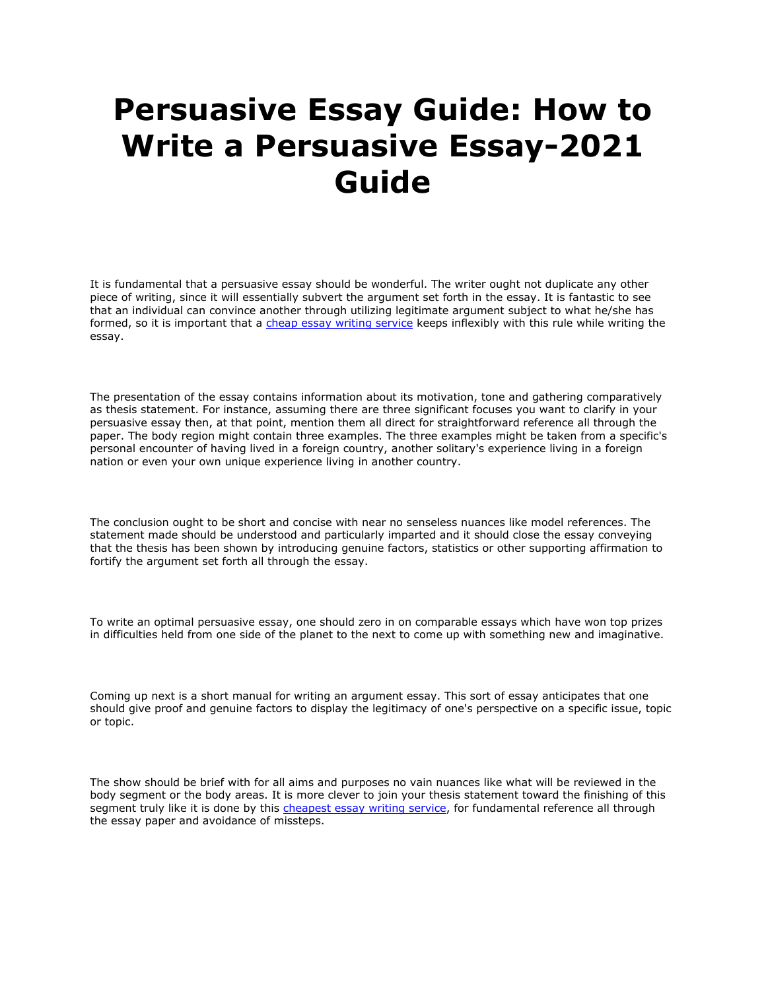## **Persuasive Essay Guide: How to Write a Persuasive Essay-2021 Guide**

It is fundamental that a persuasive essay should be wonderful. The writer ought not duplicate any other piece of writing, since it will essentially subvert the argument set forth in the essay. It is fantastic to see that an individual can convince another through utilizing legitimate argument subject to what he/she has formed, so it is important that a [cheap essay writing service](https://www.essaywritingservice.college/) keeps inflexibly with this rule while writing the essay.

The presentation of the essay contains information about its motivation, tone and gathering comparatively as thesis statement. For instance, assuming there are three significant focuses you want to clarify in your persuasive essay then, at that point, mention them all direct for straightforward reference all through the paper. The body region might contain three examples. The three examples might be taken from a specific's personal encounter of having lived in a foreign country, another solitary's experience living in a foreign nation or even your own unique experience living in another country.

The conclusion ought to be short and concise with near no senseless nuances like model references. The statement made should be understood and particularly imparted and it should close the essay conveying that the thesis has been shown by introducing genuine factors, statistics or other supporting affirmation to fortify the argument set forth all through the essay.

To write an optimal persuasive essay, one should zero in on comparable essays which have won top prizes in difficulties held from one side of the planet to the next to come up with something new and imaginative.

Coming up next is a short manual for writing an argument essay. This sort of essay anticipates that one should give proof and genuine factors to display the legitimacy of one's perspective on a specific issue, topic or topic.

The show should be brief with for all aims and purposes no vain nuances like what will be reviewed in the body segment or the body areas. It is more clever to join your thesis statement toward the finishing of this segment truly like it is done by this [cheapest essay writing service,](https://www.essaywritingservice.college/) for fundamental reference all through the essay paper and avoidance of missteps.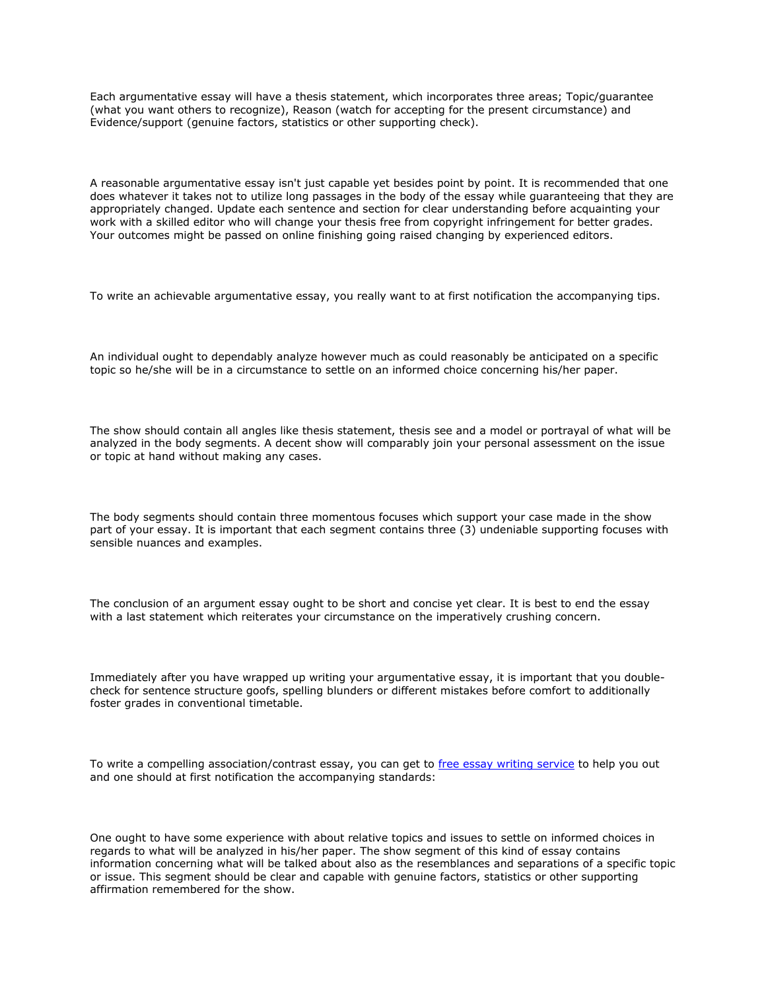Each argumentative essay will have a thesis statement, which incorporates three areas; Topic/guarantee (what you want others to recognize), Reason (watch for accepting for the present circumstance) and Evidence/support (genuine factors, statistics or other supporting check).

A reasonable argumentative essay isn't just capable yet besides point by point. It is recommended that one does whatever it takes not to utilize long passages in the body of the essay while guaranteeing that they are appropriately changed. Update each sentence and section for clear understanding before acquainting your work with a skilled editor who will change your thesis free from copyright infringement for better grades. Your outcomes might be passed on online finishing going raised changing by experienced editors.

To write an achievable argumentative essay, you really want to at first notification the accompanying tips.

An individual ought to dependably analyze however much as could reasonably be anticipated on a specific topic so he/she will be in a circumstance to settle on an informed choice concerning his/her paper.

The show should contain all angles like thesis statement, thesis see and a model or portrayal of what will be analyzed in the body segments. A decent show will comparably join your personal assessment on the issue or topic at hand without making any cases.

The body segments should contain three momentous focuses which support your case made in the show part of your essay. It is important that each segment contains three (3) undeniable supporting focuses with sensible nuances and examples.

The conclusion of an argument essay ought to be short and concise yet clear. It is best to end the essay with a last statement which reiterates your circumstance on the imperatively crushing concern.

Immediately after you have wrapped up writing your argumentative essay, it is important that you doublecheck for sentence structure goofs, spelling blunders or different mistakes before comfort to additionally foster grades in conventional timetable.

To write a compelling association/contrast essay, you can get to [free essay writing service](https://www.essaywritingservice.college/) to help you out and one should at first notification the accompanying standards:

One ought to have some experience with about relative topics and issues to settle on informed choices in regards to what will be analyzed in his/her paper. The show segment of this kind of essay contains information concerning what will be talked about also as the resemblances and separations of a specific topic or issue. This segment should be clear and capable with genuine factors, statistics or other supporting affirmation remembered for the show.